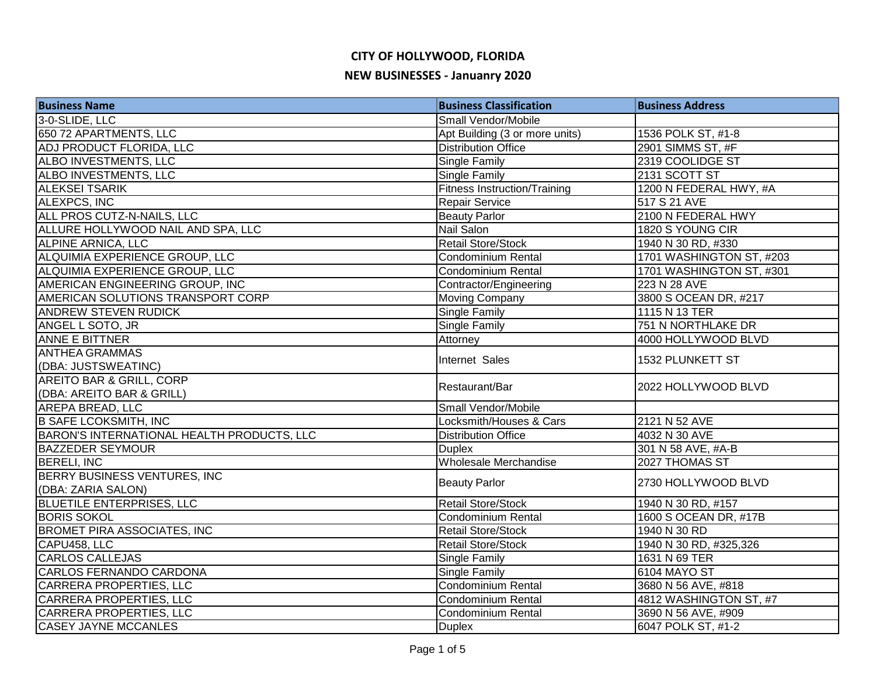| <b>Business Name</b>                       | <b>Business Classification</b>      | <b>Business Address</b>  |
|--------------------------------------------|-------------------------------------|--------------------------|
| 3-0-SLIDE, LLC                             | Small Vendor/Mobile                 |                          |
| 650 72 APARTMENTS, LLC                     | Apt Building (3 or more units)      | 1536 POLK ST, #1-8       |
| ADJ PRODUCT FLORIDA, LLC                   | <b>Distribution Office</b>          | 2901 SIMMS ST, #F        |
| ALBO INVESTMENTS, LLC                      | <b>Single Family</b>                | 2319 COOLIDGE ST         |
| ALBO INVESTMENTS, LLC                      | <b>Single Family</b>                | 2131 SCOTT ST            |
| <b>ALEKSEI TSARIK</b>                      | <b>Fitness Instruction/Training</b> | 1200 N FEDERAL HWY, #A   |
| <b>ALEXPCS, INC</b>                        | Repair Service                      | 517 S 21 AVE             |
| ALL PROS CUTZ-N-NAILS, LLC                 | <b>Beauty Parlor</b>                | 2100 N FEDERAL HWY       |
| ALLURE HOLLYWOOD NAIL AND SPA, LLC         | Nail Salon                          | 1820 S YOUNG CIR         |
| <b>ALPINE ARNICA, LLC</b>                  | <b>Retail Store/Stock</b>           | 1940 N 30 RD, #330       |
| ALQUIMIA EXPERIENCE GROUP, LLC             | Condominium Rental                  | 1701 WASHINGTON ST, #203 |
| ALQUIMIA EXPERIENCE GROUP, LLC             | Condominium Rental                  | 1701 WASHINGTON ST, #301 |
| AMERICAN ENGINEERING GROUP, INC            | Contractor/Engineering              | 223 N 28 AVE             |
| AMERICAN SOLUTIONS TRANSPORT CORP          | <b>Moving Company</b>               | 3800 S OCEAN DR, #217    |
| <b>ANDREW STEVEN RUDICK</b>                | <b>Single Family</b>                | 1115 N 13 TER            |
| ANGEL L SOTO, JR                           | <b>Single Family</b>                | 751 N NORTHLAKE DR       |
| <b>ANNE E BITTNER</b>                      | Attorney                            | 4000 HOLLYWOOD BLVD      |
| <b>ANTHEA GRAMMAS</b>                      |                                     |                          |
| (DBA: JUSTSWEATINC)                        | Internet Sales                      | 1532 PLUNKETT ST         |
| AREITO BAR & GRILL, CORP                   | Restaurant/Bar                      | 2022 HOLLYWOOD BLVD      |
| (DBA: AREITO BAR & GRILL)                  |                                     |                          |
| AREPA BREAD, LLC                           | Small Vendor/Mobile                 |                          |
| <b>B SAFE LCOKSMITH, INC</b>               | Locksmith/Houses & Cars             | 2121 N 52 AVE            |
| BARON'S INTERNATIONAL HEALTH PRODUCTS, LLC | <b>Distribution Office</b>          | 4032 N 30 AVE            |
| <b>BAZZEDER SEYMOUR</b>                    | <b>Duplex</b>                       | 301 N 58 AVE, #A-B       |
| <b>BERELI, INC</b>                         | Wholesale Merchandise               | 2027 THOMAS ST           |
| <b>BERRY BUSINESS VENTURES, INC</b>        |                                     | 2730 HOLLYWOOD BLVD      |
| (DBA: ZARIA SALON)                         | <b>Beauty Parlor</b>                |                          |
| <b>BLUETILE ENTERPRISES, LLC</b>           | <b>Retail Store/Stock</b>           | 1940 N 30 RD, #157       |
| <b>BORIS SOKOL</b>                         | Condominium Rental                  | 1600 S OCEAN DR, #17B    |
| <b>BROMET PIRA ASSOCIATES, INC</b>         | <b>Retail Store/Stock</b>           | 1940 N 30 RD             |
| CAPU458, LLC                               | <b>Retail Store/Stock</b>           | 1940 N 30 RD, #325,326   |
| <b>CARLOS CALLEJAS</b>                     | <b>Single Family</b>                | 1631 N 69 TER            |
| CARLOS FERNANDO CARDONA                    | <b>Single Family</b>                | 6104 MAYO ST             |
| CARRERA PROPERTIES, LLC                    | Condominium Rental                  | 3680 N 56 AVE, #818      |
| CARRERA PROPERTIES, LLC                    | Condominium Rental                  | 4812 WASHINGTON ST, #7   |
| <b>CARRERA PROPERTIES, LLC</b>             | <b>Condominium Rental</b>           | 3690 N 56 AVE, #909      |
| <b>CASEY JAYNE MCCANLES</b>                | <b>Duplex</b>                       | 6047 POLK ST, #1-2       |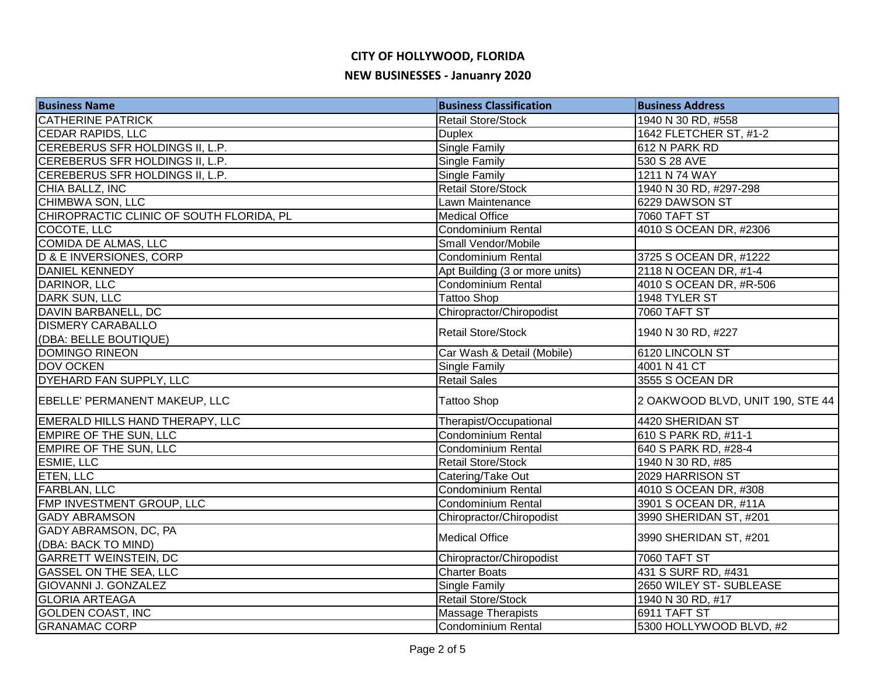| <b>Business Name</b>                     | <b>Business Classification</b> | <b>Business Address</b>          |
|------------------------------------------|--------------------------------|----------------------------------|
| <b>CATHERINE PATRICK</b>                 | <b>Retail Store/Stock</b>      | 1940 N 30 RD, #558               |
| <b>CEDAR RAPIDS, LLC</b>                 | <b>Duplex</b>                  | 1642 FLETCHER ST, #1-2           |
| CEREBERUS SFR HOLDINGS II, L.P.          | <b>Single Family</b>           | 612 N PARK RD                    |
| CEREBERUS SFR HOLDINGS II, L.P.          | <b>Single Family</b>           | 530 S 28 AVE                     |
| CEREBERUS SFR HOLDINGS II, L.P.          | <b>Single Family</b>           | 1211 N 74 WAY                    |
| CHIA BALLZ, INC                          | <b>Retail Store/Stock</b>      | 1940 N 30 RD, #297-298           |
| <b>CHIMBWA SON, LLC</b>                  | Lawn Maintenance               | 6229 DAWSON ST                   |
| CHIROPRACTIC CLINIC OF SOUTH FLORIDA, PL | <b>Medical Office</b>          | 7060 TAFT ST                     |
| COCOTE, LLC                              | Condominium Rental             | 4010 S OCEAN DR, #2306           |
| <b>COMIDA DE ALMAS, LLC</b>              | Small Vendor/Mobile            |                                  |
| <b>D &amp; E INVERSIONES, CORP</b>       | <b>Condominium Rental</b>      | 3725 S OCEAN DR, #1222           |
| DANIEL KENNEDY                           | Apt Building (3 or more units) | 2118 N OCEAN DR, #1-4            |
| DARINOR, LLC                             | Condominium Rental             | 4010 S OCEAN DR, #R-506          |
| DARK SUN, LLC                            | <b>Tattoo Shop</b>             | 1948 TYLER ST                    |
| DAVIN BARBANELL, DC                      | Chiropractor/Chiropodist       | <b>7060 TAFT ST</b>              |
| <b>DISMERY CARABALLO</b>                 | <b>Retail Store/Stock</b>      |                                  |
| (DBA: BELLE BOUTIQUE)                    |                                | 1940 N 30 RD, #227               |
| <b>DOMINGO RINEON</b>                    | Car Wash & Detail (Mobile)     | 6120 LINCOLN ST                  |
| DOV OCKEN                                | <b>Single Family</b>           | 4001 N 41 CT                     |
| <b>DYEHARD FAN SUPPLY, LLC</b>           | <b>Retail Sales</b>            | 3555 S OCEAN DR                  |
| EBELLE' PERMANENT MAKEUP, LLC            | <b>Tattoo Shop</b>             | 2 OAKWOOD BLVD, UNIT 190, STE 44 |
| <b>EMERALD HILLS HAND THERAPY, LLC</b>   | Therapist/Occupational         | 4420 SHERIDAN ST                 |
| <b>EMPIRE OF THE SUN, LLC</b>            | <b>Condominium Rental</b>      | 610 S PARK RD, #11-1             |
| <b>EMPIRE OF THE SUN, LLC</b>            | <b>Condominium Rental</b>      | 640 S PARK RD, #28-4             |
| <b>ESMIE, LLC</b>                        | <b>Retail Store/Stock</b>      | 1940 N 30 RD, #85                |
| <b>ETEN, LLC</b>                         | Catering/Take Out              | 2029 HARRISON ST                 |
| <b>FARBLAN, LLC</b>                      | Condominium Rental             | 4010 S OCEAN DR, #308            |
| FMP INVESTMENT GROUP, LLC                | Condominium Rental             | 3901 S OCEAN DR, #11A            |
| <b>GADY ABRAMSON</b>                     | Chiropractor/Chiropodist       | 3990 SHERIDAN ST, #201           |
| GADY ABRAMSON, DC, PA                    | <b>Medical Office</b>          | 3990 SHERIDAN ST, #201           |
| (DBA: BACK TO MIND)                      |                                |                                  |
| <b>GARRETT WEINSTEIN, DC</b>             | Chiropractor/Chiropodist       | <b>7060 TAFT ST</b>              |
| <b>GASSEL ON THE SEA, LLC</b>            | <b>Charter Boats</b>           | 431 S SURF RD, #431              |
| <b>GIOVANNI J. GONZALEZ</b>              | <b>Single Family</b>           | 2650 WILEY ST- SUBLEASE          |
| <b>GLORIA ARTEAGA</b>                    | <b>Retail Store/Stock</b>      | 1940 N 30 RD, #17                |
| <b>GOLDEN COAST, INC</b>                 | Massage Therapists             | 6911 TAFT ST                     |
| <b>GRANAMAC CORP</b>                     | Condominium Rental             | 5300 HOLLYWOOD BLVD, #2          |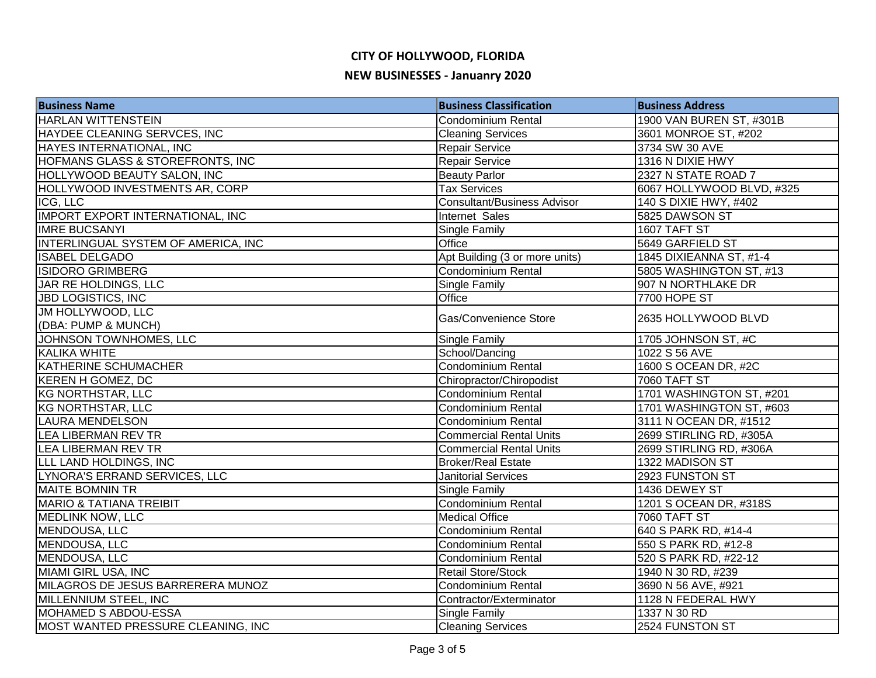| <b>Business Name</b>                       | <b>Business Classification</b>     | <b>Business Address</b>   |
|--------------------------------------------|------------------------------------|---------------------------|
| <b>HARLAN WITTENSTEIN</b>                  | <b>Condominium Rental</b>          | 1900 VAN BUREN ST, #301B  |
| HAYDEE CLEANING SERVCES, INC               | <b>Cleaning Services</b>           | 3601 MONROE ST, #202      |
| HAYES INTERNATIONAL, INC                   | Repair Service                     | 3734 SW 30 AVE            |
| HOFMANS GLASS & STOREFRONTS, INC           | Repair Service                     | 1316 N DIXIE HWY          |
| HOLLYWOOD BEAUTY SALON, INC                | <b>Beauty Parlor</b>               | 2327 N STATE ROAD 7       |
| HOLLYWOOD INVESTMENTS AR, CORP             | <b>Tax Services</b>                | 6067 HOLLYWOOD BLVD, #325 |
| ICG, LLC                                   | <b>Consultant/Business Advisor</b> | 140 S DIXIE HWY, #402     |
| <b>IMPORT EXPORT INTERNATIONAL, INC</b>    | Internet Sales                     | 5825 DAWSON ST            |
| <b>IMRE BUCSANYI</b>                       | <b>Single Family</b>               | 1607 TAFT ST              |
| <b>INTERLINGUAL SYSTEM OF AMERICA, INC</b> | Office                             | 5649 GARFIELD ST          |
| <b>ISABEL DELGADO</b>                      | Apt Building (3 or more units)     | 1845 DIXIEANNA ST, #1-4   |
| <b>ISIDORO GRIMBERG</b>                    | Condominium Rental                 | 5805 WASHINGTON ST, #13   |
| JAR RE HOLDINGS, LLC                       | Single Family                      | 907 N NORTHLAKE DR        |
| <b>JBD LOGISTICS, INC</b>                  | Office                             | <b>7700 HOPE ST</b>       |
| JM HOLLYWOOD, LLC                          | Gas/Convenience Store              | 2635 HOLLYWOOD BLVD       |
| (DBA: PUMP & MUNCH)                        |                                    |                           |
| JOHNSON TOWNHOMES, LLC                     | Single Family                      | 1705 JOHNSON ST, #C       |
| KALIKA WHITE                               | School/Dancing                     | 1022 S 56 AVE             |
| KATHERINE SCHUMACHER                       | Condominium Rental                 | 1600 S OCEAN DR, #2C      |
| KEREN H GOMEZ, DC                          | Chiropractor/Chiropodist           | <b>7060 TAFT ST</b>       |
| KG NORTHSTAR, LLC                          | Condominium Rental                 | 1701 WASHINGTON ST, #201  |
| KG NORTHSTAR, LLC                          | Condominium Rental                 | 1701 WASHINGTON ST, #603  |
| <b>LAURA MENDELSON</b>                     | <b>Condominium Rental</b>          | 3111 N OCEAN DR, #1512    |
| LEA LIBERMAN REV TR                        | <b>Commercial Rental Units</b>     | 2699 STIRLING RD, #305A   |
| <b>LEA LIBERMAN REV TR</b>                 | <b>Commercial Rental Units</b>     | 2699 STIRLING RD, #306A   |
| LLL LAND HOLDINGS, INC                     | <b>Broker/Real Estate</b>          | 1322 MADISON ST           |
| LYNORA'S ERRAND SERVICES, LLC              | <b>Janitorial Services</b>         | 2923 FUNSTON ST           |
| <b>MAITE BOMNIN TR</b>                     | Single Family                      | 1436 DEWEY ST             |
| <b>MARIO &amp; TATIANA TREIBIT</b>         | Condominium Rental                 | 1201 S OCEAN DR, #318S    |
| <b>MEDLINK NOW, LLC</b>                    | <b>Medical Office</b>              | <b>7060 TAFT ST</b>       |
| MENDOUSA, LLC                              | <b>Condominium Rental</b>          | 640 S PARK RD, #14-4      |
| MENDOUSA, LLC                              | Condominium Rental                 | 550 S PARK RD, #12-8      |
| MENDOUSA, LLC                              | Condominium Rental                 | 520 S PARK RD, #22-12     |
| <b>MIAMI GIRL USA, INC</b>                 | <b>Retail Store/Stock</b>          | 1940 N 30 RD, #239        |
| MILAGROS DE JESUS BARRERERA MUNOZ          | <b>Condominium Rental</b>          | 3690 N 56 AVE, #921       |
| MILLENNIUM STEEL, INC                      | Contractor/Exterminator            | 1128 N FEDERAL HWY        |
| <b>MOHAMED S ABDOU-ESSA</b>                | <b>Single Family</b>               | 1337 N 30 RD              |
| MOST WANTED PRESSURE CLEANING, INC         | <b>Cleaning Services</b>           | 2524 FUNSTON ST           |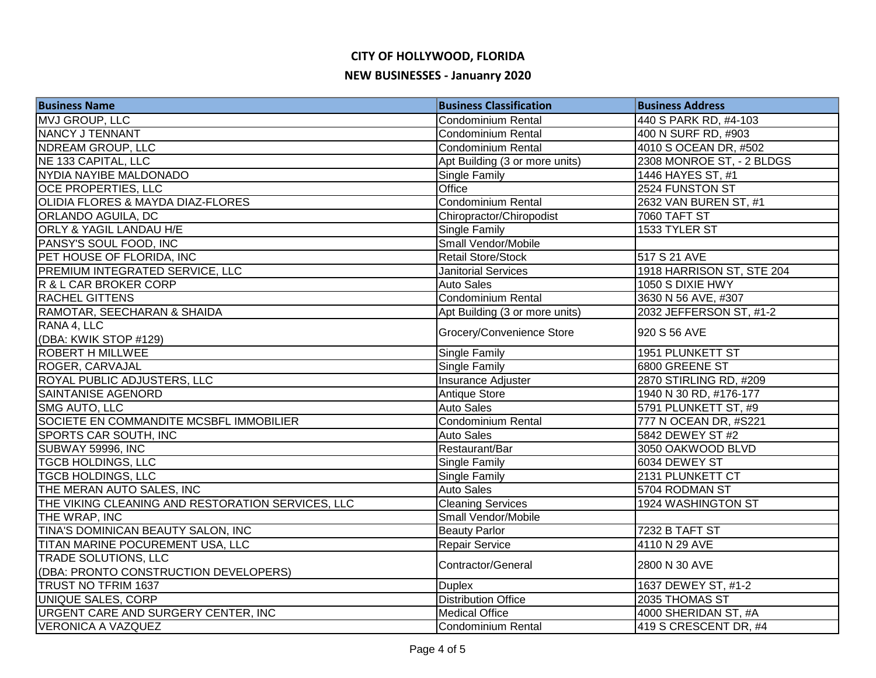| <b>Business Name</b>                              | <b>Business Classification</b> | <b>Business Address</b>   |
|---------------------------------------------------|--------------------------------|---------------------------|
| MVJ GROUP, LLC                                    | <b>Condominium Rental</b>      | 440 S PARK RD, #4-103     |
| NANCY J TENNANT                                   | Condominium Rental             | 400 N SURF RD, #903       |
| NDREAM GROUP, LLC                                 | <b>Condominium Rental</b>      | 4010 S OCEAN DR, #502     |
| NE 133 CAPITAL, LLC                               | Apt Building (3 or more units) | 2308 MONROE ST, - 2 BLDGS |
| NYDIA NAYIBE MALDONADO                            | Single Family                  | 1446 HAYES ST, #1         |
| <b>OCE PROPERTIES, LLC</b>                        | Office                         | 2524 FUNSTON ST           |
| <b>OLIDIA FLORES &amp; MAYDA DIAZ-FLORES</b>      | <b>Condominium Rental</b>      | 2632 VAN BUREN ST, #1     |
| <b>ORLANDO AGUILA, DC</b>                         | Chiropractor/Chiropodist       | <b>7060 TAFT ST</b>       |
| <b>ORLY &amp; YAGIL LANDAU H/E</b>                | <b>Single Family</b>           | 1533 TYLER ST             |
| PANSY'S SOUL FOOD, INC                            | Small Vendor/Mobile            |                           |
| PET HOUSE OF FLORIDA, INC                         | <b>Retail Store/Stock</b>      | 517 S 21 AVE              |
| <b>PREMIUM INTEGRATED SERVICE, LLC</b>            | <b>Janitorial Services</b>     | 1918 HARRISON ST, STE 204 |
| R & L CAR BROKER CORP                             | <b>Auto Sales</b>              | 1050 S DIXIE HWY          |
| <b>RACHEL GITTENS</b>                             | <b>Condominium Rental</b>      | 3630 N 56 AVE, #307       |
| RAMOTAR, SEECHARAN & SHAIDA                       | Apt Building (3 or more units) | 2032 JEFFERSON ST, #1-2   |
| RANA 4, LLC                                       |                                |                           |
| (DBA: KWIK STOP #129)                             | Grocery/Convenience Store      | 920 S 56 AVE              |
| <b>ROBERT H MILLWEE</b>                           | Single Family                  | 1951 PLUNKETT ST          |
| ROGER, CARVAJAL                                   | Single Family                  | 6800 GREENE ST            |
| <b>ROYAL PUBLIC ADJUSTERS, LLC</b>                | Insurance Adjuster             | 2870 STIRLING RD, #209    |
| SAINTANISE AGENORD                                | Antique Store                  | 1940 N 30 RD, #176-177    |
| SMG AUTO, LLC                                     | <b>Auto Sales</b>              | 5791 PLUNKETT ST, #9      |
| SOCIETE EN COMMANDITE MCSBFL IMMOBILIER           | Condominium Rental             | 777 N OCEAN DR, #S221     |
| <b>SPORTS CAR SOUTH, INC</b>                      | <b>Auto Sales</b>              | 5842 DEWEY ST #2          |
| SUBWAY 59996, INC                                 | Restaurant/Bar                 | 3050 OAKWOOD BLVD         |
| <b>TGCB HOLDINGS, LLC</b>                         | Single Family                  | 6034 DEWEY ST             |
| <b>TGCB HOLDINGS, LLC</b>                         | Single Family                  | 2131 PLUNKETT CT          |
| THE MERAN AUTO SALES, INC                         | <b>Auto Sales</b>              | 5704 RODMAN ST            |
| THE VIKING CLEANING AND RESTORATION SERVICES, LLC | <b>Cleaning Services</b>       | 1924 WASHINGTON ST        |
| THE WRAP, INC                                     | Small Vendor/Mobile            |                           |
| TINA'S DOMINICAN BEAUTY SALON, INC                | <b>Beauty Parlor</b>           | 7232 B TAFT ST            |
| TITAN MARINE POCUREMENT USA, LLC                  | Repair Service                 | 4110 N 29 AVE             |
| <b>TRADE SOLUTIONS, LLC</b>                       | Contractor/General             |                           |
| (DBA: PRONTO CONSTRUCTION DEVELOPERS)             |                                | 2800 N 30 AVE             |
| TRUST NO TFRIM 1637                               | <b>Duplex</b>                  | 1637 DEWEY ST, #1-2       |
| UNIQUE SALES, CORP                                | <b>Distribution Office</b>     | 2035 THOMAS ST            |
| URGENT CARE AND SURGERY CENTER, INC               | <b>Medical Office</b>          | 4000 SHERIDAN ST, #A      |
| <b>VERONICA A VAZQUEZ</b>                         | Condominium Rental             | 419 S CRESCENT DR, #4     |